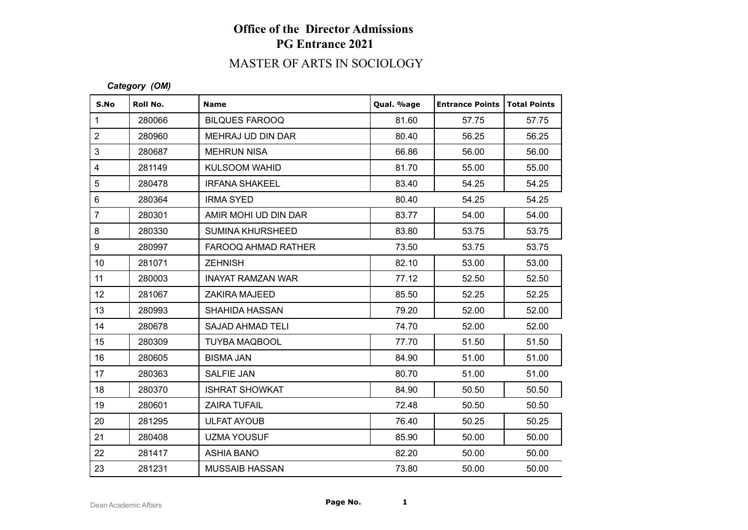## MASTER OF ARTS IN SOCIOLOGY

#### *Category (OM)*

| S.No             | Roll No. | <b>Name</b>              | Qual. %age | <b>Entrance Points   Total Points</b> |       |
|------------------|----------|--------------------------|------------|---------------------------------------|-------|
| $\mathbf{1}$     | 280066   | <b>BILQUES FAROOQ</b>    | 81.60      | 57.75                                 | 57.75 |
| $\sqrt{2}$       | 280960   | MEHRAJ UD DIN DAR        | 80.40      | 56.25                                 | 56.25 |
| 3                | 280687   | <b>MEHRUN NISA</b>       | 66.86      | 56.00                                 | 56.00 |
| $\overline{4}$   | 281149   | <b>KULSOOM WAHID</b>     | 81.70      | 55.00                                 | 55.00 |
| 5                | 280478   | <b>IRFANA SHAKEEL</b>    | 83.40      | 54.25                                 | 54.25 |
| $\,6\,$          | 280364   | <b>IRMA SYED</b>         | 80.40      | 54.25                                 | 54.25 |
| $\overline{7}$   | 280301   | AMIR MOHI UD DIN DAR     | 83.77      | 54.00                                 | 54.00 |
| $\bf 8$          | 280330   | <b>SUMINA KHURSHEED</b>  | 83.80      | 53.75                                 | 53.75 |
| $\boldsymbol{9}$ | 280997   | FAROOQ AHMAD RATHER      | 73.50      | 53.75                                 | 53.75 |
| 10 <sup>°</sup>  | 281071   | <b>ZEHNISH</b>           | 82.10      | 53.00                                 | 53.00 |
| 11               | 280003   | <b>INAYAT RAMZAN WAR</b> | 77.12      | 52.50                                 | 52.50 |
| 12               | 281067   | <b>ZAKIRA MAJEED</b>     | 85.50      | 52.25                                 | 52.25 |
| 13               | 280993   | SHAHIDA HASSAN           | 79.20      | 52.00                                 | 52.00 |
| 14               | 280678   | <b>SAJAD AHMAD TELI</b>  | 74.70      | 52.00                                 | 52.00 |
| 15               | 280309   | <b>TUYBA MAQBOOL</b>     | 77.70      | 51.50                                 | 51.50 |
| 16               | 280605   | <b>BISMA JAN</b>         | 84.90      | 51.00                                 | 51.00 |
| 17               | 280363   | SALFIE JAN               | 80.70      | 51.00                                 | 51.00 |
| 18               | 280370   | <b>ISHRAT SHOWKAT</b>    | 84.90      | 50.50                                 | 50.50 |
| 19               | 280601   | <b>ZAIRA TUFAIL</b>      | 72.48      | 50.50                                 | 50.50 |
| 20               | 281295   | <b>ULFAT AYOUB</b>       | 76.40      | 50.25                                 | 50.25 |
| 21               | 280408   | <b>UZMA YOUSUF</b>       | 85.90      | 50.00                                 | 50.00 |
| 22               | 281417   | <b>ASHIA BANO</b>        | 82.20      | 50.00                                 | 50.00 |
| 23               | 281231   | <b>MUSSAIB HASSAN</b>    | 73.80      | 50.00                                 | 50.00 |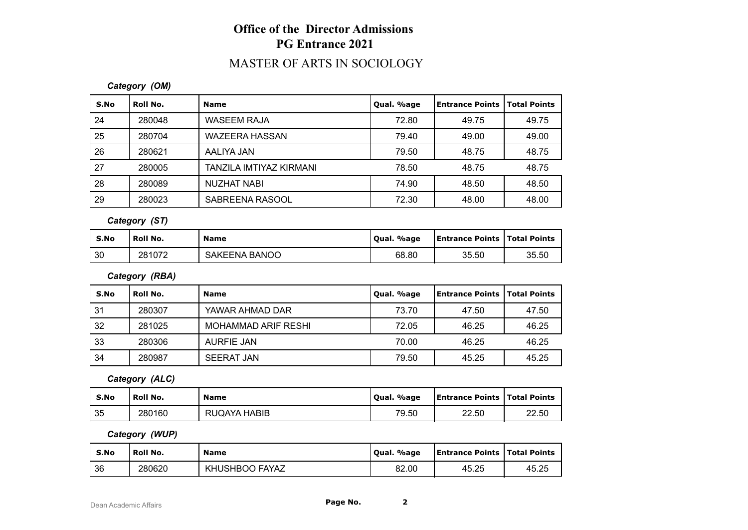#### MASTER OF ARTS IN SOCIOLOGY

#### *Category (OM)*

| S.No | Roll No. | <b>Name</b>             | Qual. %age | <b>Entrance Points</b> | <b>Total Points</b> |
|------|----------|-------------------------|------------|------------------------|---------------------|
| 24   | 280048   | <b>WASEEM RAJA</b>      | 72.80      | 49.75                  | 49.75               |
| 25   | 280704   | WAZEERA HASSAN          | 79.40      | 49.00                  | 49.00               |
| 26   | 280621   | AALIYA JAN              | 79.50      | 48.75                  | 48.75               |
| 27   | 280005   | TANZILA IMTIYAZ KIRMANI | 78.50      | 48.75                  | 48.75               |
| 28   | 280089   | NUZHAT NABI             | 74.90      | 48.50                  | 48.50               |
| 29   | 280023   | SABREENA RASOOL         | 72.30      | 48.00                  | 48.00               |

*Category (ST)*

| S.No | Roll No. | <b>Name</b>               | %age<br>Oual. | <b>Entrance Points   Total Points</b> |       |
|------|----------|---------------------------|---------------|---------------------------------------|-------|
| 30   | 281072   | BANOO ،<br><b>SAKEENA</b> | 68.80         | 35.50                                 | 35.50 |

*Category (RBA)*

| S.No | Roll No. | <b>Name</b>                | Qual. %age | <b>Entrance Points   Total Points</b> |       |
|------|----------|----------------------------|------------|---------------------------------------|-------|
| 31   | 280307   | YAWAR AHMAD DAR            | 73.70      | 47.50                                 | 47.50 |
| 32   | 281025   | <b>MOHAMMAD ARIF RESHI</b> | 72.05      | 46.25                                 | 46.25 |
| 33   | 280306   | AURFIE JAN                 | 70.00      | 46.25                                 | 46.25 |
| 34   | 280987   | <b>SEERAT JAN</b>          | 79.50      | 45.25                                 | 45.25 |

*Category (ALC)*

| S.No | Roll No. | <b>Name</b>  | Oual, %age | <b>Entrance Points   Total Points</b> |       |
|------|----------|--------------|------------|---------------------------------------|-------|
| 35   | 280160   | RUQAYA HABIB | 79.50      | 22.50                                 | 22.50 |

*Category (WUP)*

| S.No | Roll No. | <b>Name</b>    | Oual. %age | <b>Entrance Points   Total Points</b> |       |
|------|----------|----------------|------------|---------------------------------------|-------|
| 36   | 280620   | KHUSHBOO FAYAZ | 82.00      | 45.25                                 | 45.25 |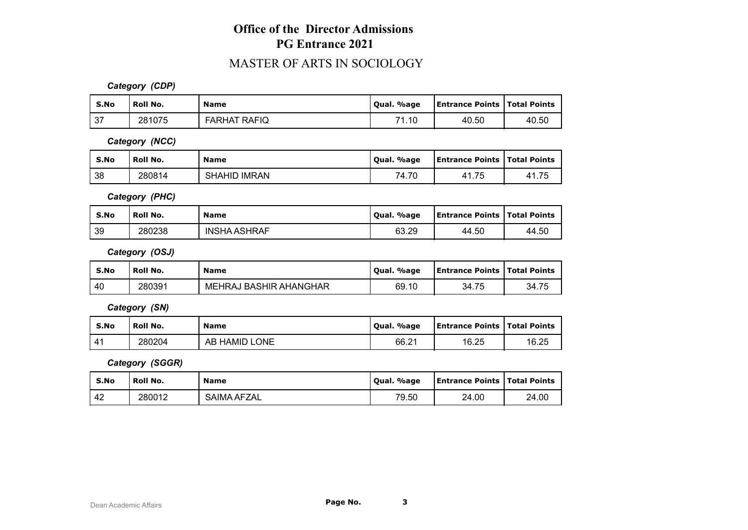#### MASTER OF ARTS IN SOCIOLOGY

*Category (CDP)*

| S.No | Roll No. | <b>Name</b>         | Qual. %age | <b>Entrance Points   Total Points</b> |       |
|------|----------|---------------------|------------|---------------------------------------|-------|
| 37   | 281075   | <b>FARHAT RAFIQ</b> | 74<br>1.4C | 40.50                                 | 40.50 |

*Category (NCC)*

| S.No | Roll No. | <b>Name</b>                   | %age<br>Oual. | <b>Entrance Points   Total Points</b> |      |
|------|----------|-------------------------------|---------------|---------------------------------------|------|
| l 38 | 280814   | <b>IMRAN</b><br><b>SHAHID</b> | 74.70         | 41.75                                 | 1.75 |

*Category (PHC)*

| S.No | <b>Roll No.</b> | <b>Name</b>         | %age<br>Oual. | <b>Entrance Points   Total Points</b> |       |
|------|-----------------|---------------------|---------------|---------------------------------------|-------|
| 39   | 280238          | <b>INSHA ASHRAF</b> | 63.29         | 44.50                                 | 44.50 |

*Category (OSJ)*

| S.No | Roll No. | <b>Name</b>            | Oual, %age | <b>Entrance Points   Total Points</b> |       |
|------|----------|------------------------|------------|---------------------------------------|-------|
| 40   | 280391   | MEHRAJ BASHIR AHANGHAR | 69.10      | 34.75                                 | 34.75 |

*Category (SN)*

| S.No | Roll No. | <b>Name</b>   | Qual. %age | <b>Entrance Points   Total Points</b> |       |
|------|----------|---------------|------------|---------------------------------------|-------|
|      | 280204   | AB HAMID LONE | 66.21      | 16.25                                 | 16.25 |

*Category (SGGR)*

| S.No | Roll No. | <b>Name</b> | Qual. %age | <b>Entrance Points   Total Points</b> |       |
|------|----------|-------------|------------|---------------------------------------|-------|
| 42   | 280012   | SAIMA AFZAL | 79.50      | 24.00                                 | 24.00 |